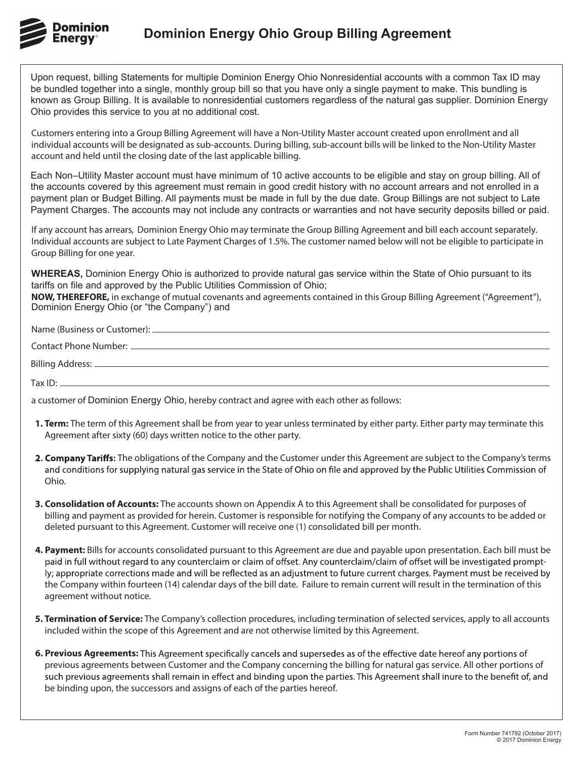

Upon request, billing Statements for multiple Dominion Energy Ohio Nonresidential accounts with a common Tax ID may be bundled together into a single, monthly group bill so that you have only a single payment to make. This bundling is known as Group Billing. It is available to nonresidential customers regardless of the natural gas supplier. Dominion Energy Ohio provides this service to you at no additional cost.

Customers entering into a Group Billing Agreement will have a Non-Utility Master account created upon enrollment and all individual accounts will be designated as sub-accounts. During billing, sub-account bills will be linked to the Non-Utility Master account and held until the closing date of the last applicable billing.

Each Non–Utility Master account must have minimum of 10 active accounts to be eligible and stay on group billing. All of the accounts covered by this agreement must remain in good credit history with no account arrears and not enrolled in a payment plan or Budget Billing. All payments must be made in full by the due date. Group Billings are not subject to Late Payment Charges. The accounts may not include any contracts or warranties and not have security deposits billed or paid.

If any account has arrears, Dominion Energy Ohio may terminate the Group Billing Agreement and bill each account separately. Individual accounts are subject to Late Payment Charges of 1.5%. The customer named below will not be eligible to participate in Group Billing for one year.

**WHEREAS,** Dominion Energy Ohio is authorized to provide natural gas service within the State of Ohio pursuant to its tariffs on file and approved by the Public Utilities Commission of Ohio;

**NOW, THEREFORE,** in exchange of mutual covenants and agreements contained in this Group Billing Agreement ("Agreement"), Dominion Energy Ohio (or "the Company") and

Name (Business or Customer): Billing Address: Tax  $ID:$   $-$ Contact Phone Number:

a customer of Dominion Energy Ohio, hereby contract and agree with each other as follows:

- **1. Term:** The term of this Agreement shall be from year to year unless terminated by either party. Either party may terminate this Agreement after sixty (60) days written notice to the other party.
- 2. Company Tariffs: The obligations of the Company and the Customer under this Agreement are subject to the Company's terms and conditions for supplying natural gas service in the State of Ohio on file and approved by the Public Utilities Commission of Ohio.
- **3. Consolidation of Accounts:** The accounts shown on Appendix A to this Agreement shall be consolidated for purposes of billing and payment as provided for herein. Customer is responsible for notifying the Company of any accounts to be added or deleted pursuant to this Agreement. Customer will receive one (1) consolidated bill per month.
- **4. Payment:** Bills for accounts consolidated pursuant to this Agreement are due and payable upon presentation. Each bill must be paid in full without regard to any counterclaim or claim of offset. Any counterclaim/claim of offset will be investigated promptly; appropriate corrections made and will be reflected as an adjustment to future current charges. Payment must be received by the Company within fourteen (14) calendar days of the bill date. Failure to remain current will result in the termination of this agreement without notice.
- **5. Termination of Service:** The Company's collection procedures, including termination of selected services, apply to all accounts included within the scope of this Agreement and are not otherwise limited by this Agreement.
- 6. Previous Agreements: This Agreement specifically cancels and supersedes as of the effective date hereof any portions of previous agreements between Customer and the Company concerning the billing for natural gas service. All other portions of such previous agreements shall remain in effect and binding upon the parties. This Agreement shall inure to the benefit of, and be binding upon, the successors and assigns of each of the parties hereof.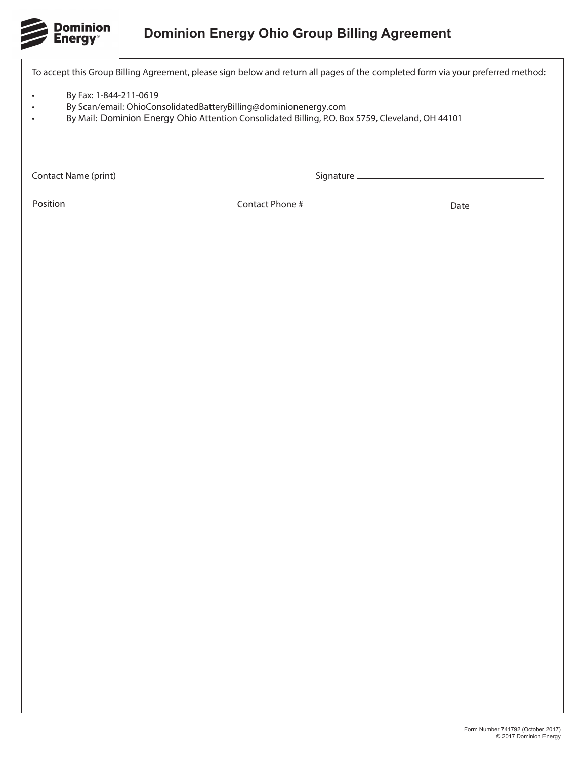

## **Dominion Energy Ohio Group Billing Agreement**

To accept this Group Billing Agreement, please sign below and return all pages of the completed form via your preferred method: • By Fax: 1-844-211-0619

- By Scan/email: OhioConsolidatedBatteryBilling@dominionenergy.com
- By Mail: Dominion Energy Ohio Attention Consolidated Billing, P.O. Box 5759, Cleveland, OH 44101

Contact Name (print) Signature

Position Contact Phone # Date